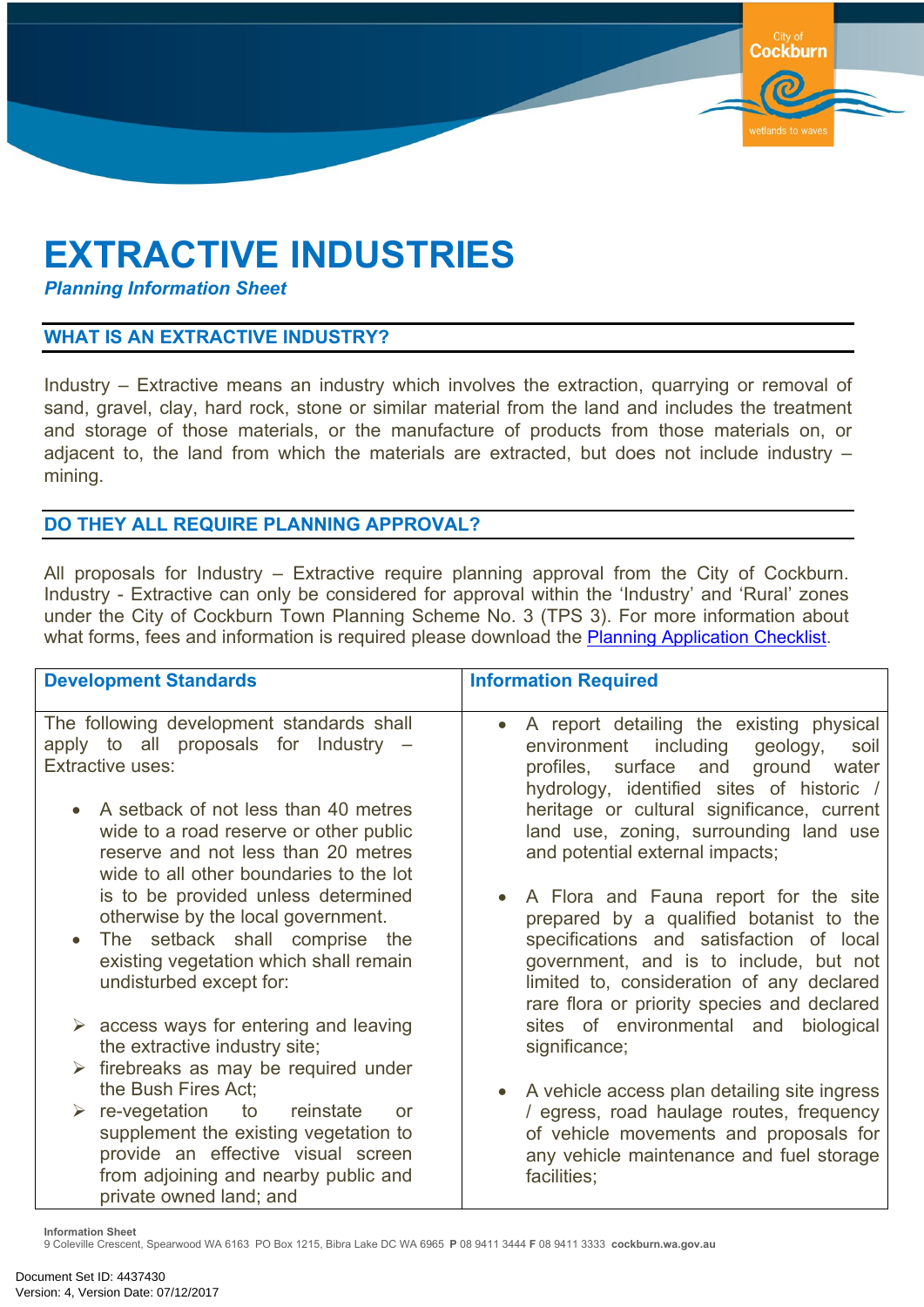## **EXTRACTIVE INDUSTRIES**

*Planning Information Sheet*

## **WHAT IS AN EXTRACTIVE INDUSTRY?**

Industry – Extractive means an industry which involves the extraction, quarrying or removal of sand, gravel, clay, hard rock, stone or similar material from the land and includes the treatment and storage of those materials, or the manufacture of products from those materials on, or adjacent to, the land from which the materials are extracted, but does not include industry – mining.

**Cockburn** 

## **DO THEY ALL REQUIRE PLANNING APPROVAL?**

All proposals for Industry – Extractive require planning approval from the City of Cockburn. Industry - Extractive can only be considered for approval within the 'Industry' and 'Rural' zones under the City of Cockburn Town Planning Scheme No. 3 (TPS 3). For more information about what forms, fees and information is required please download the Planning [Application](https://ab-prd-das-02.cockburn.wa.gov.au:8080/dwroot/datawrks/frameset?url=search%3Fuser%3DJKERR01https://www.cockburn.wa.gov.au/Council/Documents-and-Publications/?page=1&tags=doggreen&sortby=) Checklist.

| <b>Development Standards</b>                                                                                                                                                                           | <b>Information Required</b>                                                                                                                                                                                                                                                     |
|--------------------------------------------------------------------------------------------------------------------------------------------------------------------------------------------------------|---------------------------------------------------------------------------------------------------------------------------------------------------------------------------------------------------------------------------------------------------------------------------------|
| The following development standards shall<br>apply to all proposals for Industry –<br><b>Extractive uses:</b>                                                                                          | A report detailing the existing physical<br>$\bullet$<br>environment including geology,<br>soil<br>profiles, surface and ground<br>water<br>hydrology, identified sites of historic /                                                                                           |
| A setback of not less than 40 metres<br>wide to a road reserve or other public<br>reserve and not less than 20 metres<br>wide to all other boundaries to the lot                                       | heritage or cultural significance, current<br>land use, zoning, surrounding land use<br>and potential external impacts;                                                                                                                                                         |
| is to be provided unless determined<br>otherwise by the local government.<br>The setback shall comprise the<br>existing vegetation which shall remain<br>undisturbed except for:                       | A Flora and Fauna report for the site<br>$\bullet$<br>prepared by a qualified botanist to the<br>specifications and satisfaction of local<br>government, and is to include, but not<br>limited to, consideration of any declared<br>rare flora or priority species and declared |
| $\triangleright$ access ways for entering and leaving<br>the extractive industry site;                                                                                                                 | sites of environmental and biological<br>significance;                                                                                                                                                                                                                          |
| $\triangleright$ firebreaks as may be required under<br>the Bush Fires Act;                                                                                                                            | A vehicle access plan detailing site ingress<br>$\bullet$                                                                                                                                                                                                                       |
| $\triangleright$ re-vegetation to<br>reinstate<br>or<br>supplement the existing vegetation to<br>provide an effective visual screen<br>from adjoining and nearby public and<br>private owned land; and | / egress, road haulage routes, frequency<br>of vehicle movements and proposals for<br>any vehicle maintenance and fuel storage<br>facilities;                                                                                                                                   |

**Information Sheet**

9 Coleville Crescent, Spearwood WA 6163 PO Box 1215, Bibra Lake DC WA 6965 **P** 08 9411 3444 **F** 08 9411 3333 **cockburn.wa.gov.au**